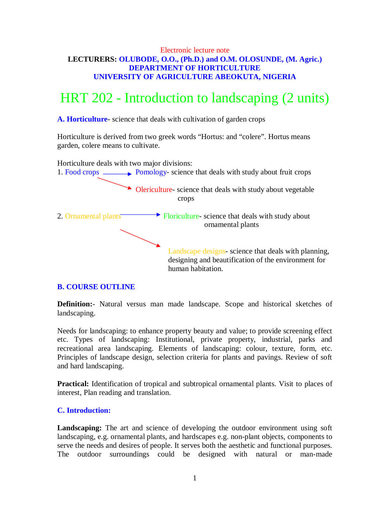# Electronic lecture note **LECTURERS: OLUBODE, O.O., (Ph.D.) and O.M. OLOSUNDE, (M. Agric.) DEPARTMENT OF HORTICULTURE UNIVERSITY OF AGRICULTURE ABEOKUTA, NIGERIA**

# HRT 202 - Introduction to landscaping (2 units)

**A. Horticulture-** science that deals with cultivation of garden crops

Horticulture is derived from two greek words "Hortus: and "colere". Hortus means garden, colere means to cultivate.



# **B. COURSE OUTLINE**

**Definition:**- Natural versus man made landscape. Scope and historical sketches of landscaping.

Needs for landscaping: to enhance property beauty and value; to provide screening effect etc. Types of landscaping: Institutional, private property, industrial, parks and recreational area landscaping. Elements of landscaping: colour, texture, form, etc. Principles of landscape design, selection criteria for plants and pavings. Review of soft and hard landscaping.

**Practical:** Identification of tropical and subtropical ornamental plants. Visit to places of interest, Plan reading and translation.

# **C. Introduction:**

**Landscaping:** The art and science of developing the outdoor environment using soft landscaping, e.g. ornamental plants, and hardscapes e.g. non-plant objects, components to serve the needs and desires of people. It serves both the aesthetic and functional purposes. The outdoor surroundings could be designed with natural or man-made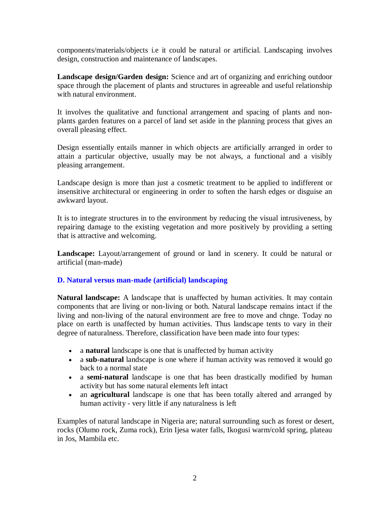components/materials/objects i.e it could be natural or artificial. Landscaping involves design, construction and maintenance of landscapes.

**Landscape design/Garden design:** Science and art of organizing and enriching outdoor space through the placement of plants and structures in agreeable and useful relationship with natural environment.

It involves the qualitative and functional arrangement and spacing of plants and nonplants garden features on a parcel of land set aside in the planning process that gives an overall pleasing effect.

Design essentially entails manner in which objects are artificially arranged in order to attain a particular objective, usually may be not always, a functional and a visibly pleasing arrangement.

Landscape design is more than just a cosmetic treatment to be applied to indifferent or insensitive architectural or engineering in order to soften the harsh edges or disguise an awkward layout.

It is to integrate structures in to the environment by reducing the visual intrusiveness, by repairing damage to the existing vegetation and more positively by providing a setting that is attractive and welcoming.

**Landscape:** Layout/arrangement of ground or land in scenery. It could be natural or artificial (man-made)

# **D. Natural versus man-made (artificial) landscaping**

**Natural landscape:** A landscape that is unaffected by human activities. It may contain components that are living or non-living or both. Natural landscape remains intact if the living and non-living of the natural environment are free to move and chnge. Today no place on earth is unaffected by human activities. Thus landscape tents to vary in their degree of naturalness. Therefore, classification have been made into four types:

- a **natural** landscape is one that is unaffected by human activity
- a **sub-natural** landscape is one where if human activity was removed it would go back to a normal state
- a **semi-natural** landscape is one that has been drastically modified by human activity but has some natural elements left intact
- an **agricultural** landscape is one that has been totally altered and arranged by human activity - very little if any naturalness is left

Examples of natural landscape in Nigeria are; natural surrounding such as forest or desert, rocks (Olumo rock, Zuma rock), Erin Ijesa water falls, Ikogusi warm/cold spring, plateau in Jos, Mambila etc.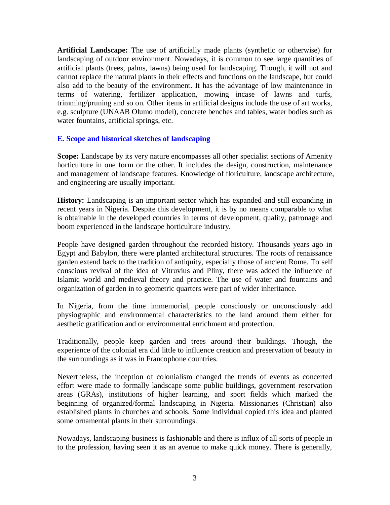**Artificial Landscape:** The use of artificially made plants (synthetic or otherwise) for landscaping of outdoor environment. Nowadays, it is common to see large quantities of artificial plants (trees, palms, lawns) being used for landscaping. Though, it will not and cannot replace the natural plants in their effects and functions on the landscape, but could also add to the beauty of the environment. It has the advantage of low maintenance in terms of watering, fertilizer application, mowing incase of lawns and turfs, trimming/pruning and so on. Other items in artificial designs include the use of art works, e.g. sculpture (UNAAB Olumo model), concrete benches and tables, water bodies such as water fountains, artificial springs, etc.

## **E. Scope and historical sketches of landscaping**

**Scope:** Landscape by its very nature encompasses all other specialist sections of Amenity horticulture in one form or the other. It includes the design, construction, maintenance and management of landscape features. Knowledge of floriculture, landscape architecture, and engineering are usually important.

**History:** Landscaping is an important sector which has expanded and still expanding in recent years in Nigeria. Despite this development, it is by no means comparable to what is obtainable in the developed countries in terms of development, quality, patronage and boom experienced in the landscape horticulture industry.

People have designed garden throughout the recorded history. Thousands years ago in Egypt and Babylon, there were planted architectural structures. The roots of renaissance garden extend back to the tradition of antiquity, especially those of ancient Rome. To self conscious revival of the idea of Vitruvius and Pliny, there was added the influence of Islamic world and medieval theory and practice. The use of water and fountains and organization of garden in to geometric quarters were part of wider inheritance.

In Nigeria, from the time immemorial, people consciously or unconsciously add physiographic and environmental characteristics to the land around them either for aesthetic gratification and or environmental enrichment and protection.

Traditionally, people keep garden and trees around their buildings. Though, the experience of the colonial era did little to influence creation and preservation of beauty in the surroundings as it was in Francophone countries.

Nevertheless, the inception of colonialism changed the trends of events as concerted effort were made to formally landscape some public buildings, government reservation areas (GRAs), institutions of higher learning, and sport fields which marked the beginning of organized/formal landscaping in Nigeria. Missionaries (Christian) also established plants in churches and schools. Some individual copied this idea and planted some ornamental plants in their surroundings.

Nowadays, landscaping business is fashionable and there is influx of all sorts of people in to the profession, having seen it as an avenue to make quick money. There is generally,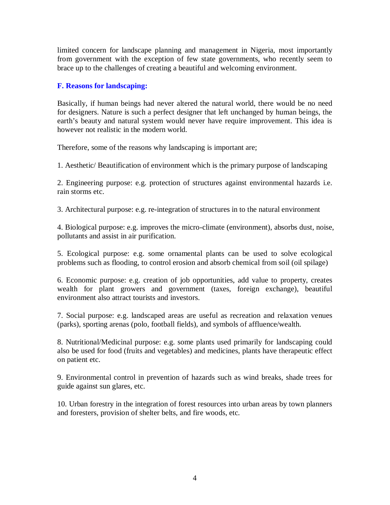limited concern for landscape planning and management in Nigeria, most importantly from government with the exception of few state governments, who recently seem to brace up to the challenges of creating a beautiful and welcoming environment.

# **F. Reasons for landscaping:**

Basically, if human beings had never altered the natural world, there would be no need for designers. Nature is such a perfect designer that left unchanged by human beings, the earth's beauty and natural system would never have require improvement. This idea is however not realistic in the modern world.

Therefore, some of the reasons why landscaping is important are;

1. Aesthetic/ Beautification of environment which is the primary purpose of landscaping

2. Engineering purpose: e.g. protection of structures against environmental hazards i.e. rain storms etc.

3. Architectural purpose: e.g. re-integration of structures in to the natural environment

4. Biological purpose: e.g. improves the micro-climate (environment), absorbs dust, noise, pollutants and assist in air purification.

5. Ecological purpose: e.g. some ornamental plants can be used to solve ecological problems such as flooding, to control erosion and absorb chemical from soil (oil spilage)

6. Economic purpose: e.g. creation of job opportunities, add value to property, creates wealth for plant growers and government (taxes, foreign exchange), beautiful environment also attract tourists and investors.

7. Social purpose: e.g. landscaped areas are useful as recreation and relaxation venues (parks), sporting arenas (polo, football fields), and symbols of affluence/wealth.

8. Nutritional/Medicinal purpose: e.g. some plants used primarily for landscaping could also be used for food (fruits and vegetables) and medicines, plants have therapeutic effect on patient etc.

9. Environmental control in prevention of hazards such as wind breaks, shade trees for guide against sun glares, etc.

10. Urban forestry in the integration of forest resources into urban areas by town planners and foresters, provision of shelter belts, and fire woods, etc.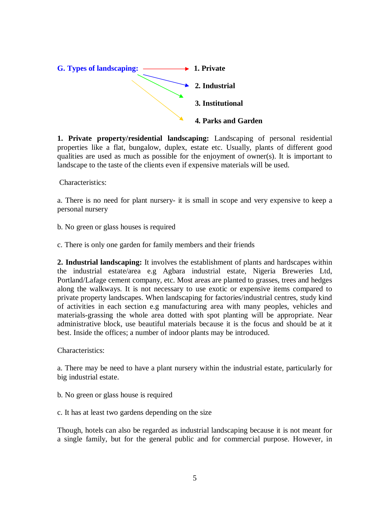

**1. Private property/residential landscaping:** Landscaping of personal residential properties like a flat, bungalow, duplex, estate etc. Usually, plants of different good qualities are used as much as possible for the enjoyment of owner(s). It is important to landscape to the taste of the clients even if expensive materials will be used.

Characteristics:

a. There is no need for plant nursery- it is small in scope and very expensive to keep a personal nursery

b. No green or glass houses is required

c. There is only one garden for family members and their friends

**2. Industrial landscaping:** It involves the establishment of plants and hardscapes within the industrial estate/area e.g Agbara industrial estate, Nigeria Breweries Ltd, Portland/Lafage cement company, etc. Most areas are planted to grasses, trees and hedges along the walkways. It is not necessary to use exotic or expensive items compared to private property landscapes. When landscaping for factories/industrial centres, study kind of activities in each section e.g manufacturing area with many peoples, vehicles and materials-grassing the whole area dotted with spot planting will be appropriate. Near administrative block, use beautiful materials because it is the focus and should be at it best. Inside the offices; a number of indoor plants may be introduced.

Characteristics:

a. There may be need to have a plant nursery within the industrial estate, particularly for big industrial estate.

b. No green or glass house is required

c. It has at least two gardens depending on the size

Though, hotels can also be regarded as industrial landscaping because it is not meant for a single family, but for the general public and for commercial purpose. However, in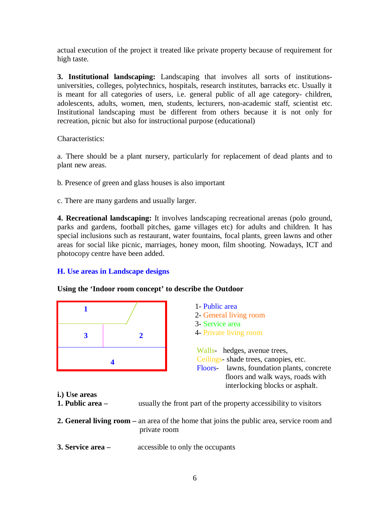actual execution of the project it treated like private property because of requirement for high taste.

**3. Institutional landscaping:** Landscaping that involves all sorts of institutionsuniversities, colleges, polytechnics, hospitals, research institutes, barracks etc. Usually it is meant for all categories of users, i.e. general public of all age category- children, adolescents, adults, women, men, students, lecturers, non-academic staff, scientist etc. Institutional landscaping must be different from others because it is not only for recreation, picnic but also for instructional purpose (educational)

Characteristics:

a. There should be a plant nursery, particularly for replacement of dead plants and to plant new areas.

- b. Presence of green and glass houses is also important
- c. There are many gardens and usually larger.

**4. Recreational landscaping:** It involves landscaping recreational arenas (polo ground, parks and gardens, football pitches, game villages etc) for adults and children. It has special inclusions such as restaurant, water fountains, focal plants, green lawns and other areas for social like picnic, marriages, honey moon, film shooting. Nowadays, ICT and photocopy centre have been added.

#### **H. Use areas in Landscape designs**

#### **Using the 'Indoor room concept' to describe the Outdoor**



|   |  | 1- Public area<br>2- General living room<br>3- Service area<br>4- Private living room                                         |
|---|--|-------------------------------------------------------------------------------------------------------------------------------|
| 4 |  | Walls- hedges, avenue trees,<br>Ceilings- shade trees, canopies, etc.<br>lawns, foundation plants, concrete<br><b>Floors-</b> |
|   |  | floors and walk ways, roads with<br>interlocking blocks or asphalt.                                                           |

- **i.) Use areas**
- **1. Public area –** usually the front part of the property accessibility to visitors
- **2. General living room –** an area of the home that joins the public area, service room and private room
- **3. Service area –** accessible to only the occupants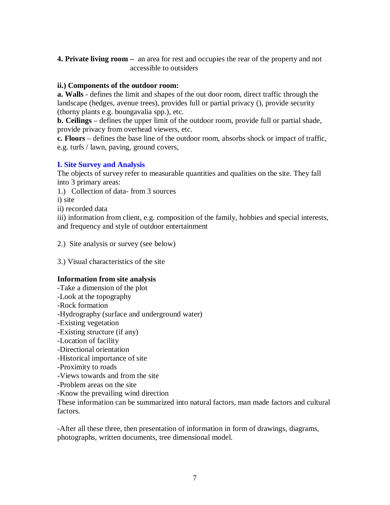**4. Private living room –** an area for rest and occupies the rear of the property and not accessible to outsiders

## **ii.) Components of the outdoor room:**

**a. Walls** - defines the limit and shapes of the out door room, direct traffic through the landscape (hedges, avenue trees), provides full or partial privacy (), provide security (thorny plants e.g. boungavalia spp.), etc.

**b. Ceilings** – defines the upper limit of the outdoor room, provide full or partial shade, provide privacy from overhead viewers, etc.

**c. Floors** – defines the base line of the outdoor room, absorbs shock or impact of traffic, e.g. turfs / lawn, paving, ground covers,

# **I. Site Survey and Analysis**

The objects of survey refer to measurable quantities and qualities on the site. They fall into 3 primary areas:

1.) Collection of data- from 3 sources

i) site

ii) recorded data

iii) information from client, e.g. composition of the family, hobbies and special interests, and frequency and style of outdoor entertainment

2.) Site analysis or survey (see below)

3.) Visual characteristics of the site

# **Information from site analysis**

-Take a dimension of the plot

-Look at the topography

-Rock formation

-Hydrography (surface and underground water)

- -Existing vegetation
- -Existing structure (if any)
- -Location of facility
- -Directional orientation
- -Historical importance of site
- -Proximity to roads
- -Views towards and from the site
- -Problem areas on the site
- -Know the prevailing wind direction

These information can be summarized into natural factors, man made factors and cultural factors.

-After all these three, then presentation of information in form of drawings, diagrams, photographs, written documents, tree dimensional model.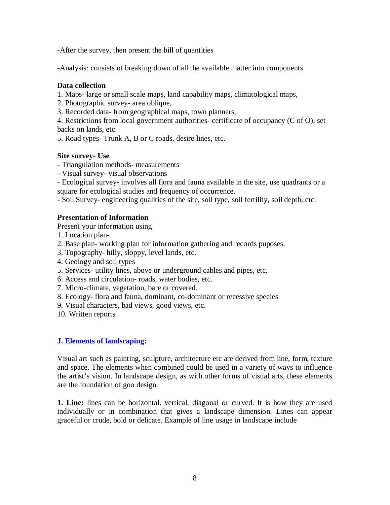-After the survey, then present the bill of quantities

-Analysis: consists of breaking down of all the available matter into components

## **Data collection**

1. Maps- large or small scale maps, land capability maps, climatological maps,

2. Photographic survey- area oblique,

3. Recorded data- from geographical maps, town planners,

4. Restrictions from local government authorities- certificate of occupancy (C of O), set backs on lands, etc.

5. Road types- Trunk A, B or C roads, desire lines, etc.

# **Site survey- Use**

- Triangulation methods- measurements
- Visual survey- visual observations

- Ecological survey- involves all flora and fauna available in the site, use quadrants or a square for ecological studies and frequency of occurrence.

- Soil Survey- engineering qualities of the site, soil type, soil fertility, soil depth, etc.

## **Presentation of Information**

Present your information using

- 1. Location plan-
- 2. Base plan- working plan for information gathering and records puposes.
- 3. Topography- hilly, sloppy, level lands, etc.
- 4. Geology and soil types
- 5. Services- utility lines, above or underground cables and pipes, etc.
- 6. Access and circulation- roads, water bodies, etc.
- 7. Micro-climate, vegetation, bare or covered.
- 8. Ecology- flora and fauna, dominant, co-dominant or recessive species
- 9. Visual characters, bad views, good views, etc.
- 10. Written reports

# **J. Elements of landscaping:**

Visual art such as painting, sculpture, architecture etc are derived from line, form, texture and space. The elements when combined could be used in a variety of ways to influence the artist's vision. In landscape design, as with other forms of visual arts, these elements are the foundation of goo design.

**1. Line:** lines can be horizontal, vertical, diagonal or curved. It is how they are used individually or in combination that gives a landscape dimension. Lines can appear graceful or crude, bold or delicate. Example of line usage in landscape include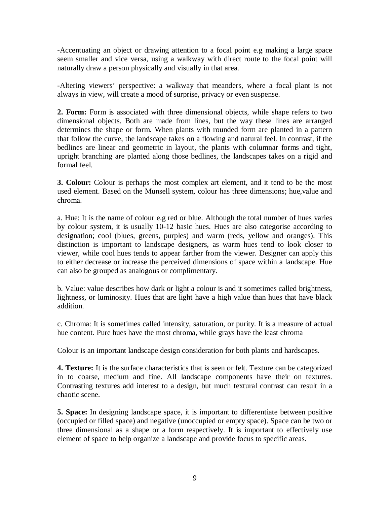-Accentuating an object or drawing attention to a focal point e.g making a large space seem smaller and vice versa, using a walkway with direct route to the focal point will naturally draw a person physically and visually in that area.

-Altering viewers' perspective: a walkway that meanders, where a focal plant is not always in view, will create a mood of surprise, privacy or even suspense.

**2. Form:** Form is associated with three dimensional objects, while shape refers to two dimensional objects. Both are made from lines, but the way these lines are arranged determines the shape or form. When plants with rounded form are planted in a pattern that follow the curve, the landscape takes on a flowing and natural feel. In contrast, if the bedlines are linear and geometric in layout, the plants with columnar forms and tight, upright branching are planted along those bedlines, the landscapes takes on a rigid and formal feel.

**3. Colour:** Colour is perhaps the most complex art element, and it tend to be the most used element. Based on the Munsell system, colour has three dimensions; hue,value and chroma.

a. Hue: It is the name of colour e.g red or blue. Although the total number of hues varies by colour system, it is usually 10-12 basic hues. Hues are also categorise according to designation; cool (blues, greens, purples) and warm (reds, yellow and oranges). This distinction is important to landscape designers, as warm hues tend to look closer to viewer, while cool hues tends to appear farther from the viewer. Designer can apply this to either decrease or increase the perceived dimensions of space within a landscape. Hue can also be grouped as analogous or complimentary.

b. Value: value describes how dark or light a colour is and it sometimes called brightness, lightness, or luminosity. Hues that are light have a high value than hues that have black addition.

c. Chroma: It is sometimes called intensity, saturation, or purity. It is a measure of actual hue content. Pure hues have the most chroma, while grays have the least chroma

Colour is an important landscape design consideration for both plants and hardscapes.

**4. Texture:** It is the surface characteristics that is seen or felt. Texture can be categorized in to coarse, medium and fine. All landscape components have their on textures. Contrasting textures add interest to a design, but much textural contrast can result in a chaotic scene.

**5. Space:** In designing landscape space, it is important to differentiate between positive (occupied or filled space) and negative (unoccupied or empty space). Space can be two or three dimensional as a shape or a form respectively. It is important to effectively use element of space to help organize a landscape and provide focus to specific areas.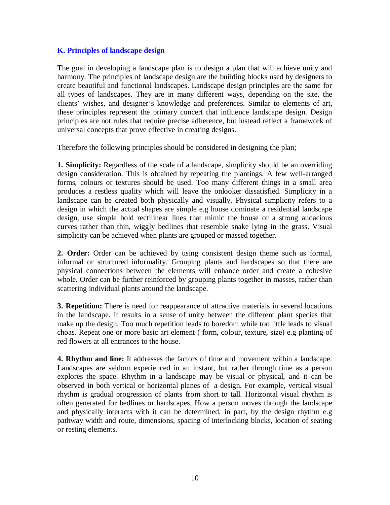### **K. Principles of landscape design**

The goal in developing a landscape plan is to design a plan that will achieve unity and harmony. The principles of landscape design are the building blocks used by designers to create beautiful and functional landscapes. Landscape design principles are the same for all types of landscapes. They are in many different ways, depending on the site, the clients' wishes, and designer's knowledge and preferences. Similar to elements of art, these principles represent the primary concert that influence landscape design. Design principles are not rules that require precise adherence, but instead reflect a framework of universal concepts that prove effective in creating designs.

Therefore the following principles should be considered in designing the plan;

**1. Simplicity:** Regardless of the scale of a landscape, simplicity should be an overriding design consideration. This is obtained by repeating the plantings. A few well-arranged forms, colours or textures should be used. Too many different things in a small area produces a restless quality which will leave the onlooker dissatisfied. Simplicity in a landscape can be created both physically and visually. Physical simplicity refers to a design in which the actual shapes are simple e.g house dominate a residential landscape design, use simple bold rectilinear lines that mimic the house or a strong audacious curves rather than thin, wiggly bedlines that resemble snake lying in the grass. Visual simplicity can be achieved when plants are grouped or massed together.

**2. Order:** Order can be achieved by using consistent design theme such as formal, informal or structured informality. Grouping plants and hardscapes so that there are physical connections between the elements will enhance order and create a cohesive whole. Order can be further reinforced by grouping plants together in masses, rather than scattering individual plants around the landscape.

**3. Repetition:** There is need for reappearance of attractive materials in several locations in the landscape. It results in a sense of unity between the different plant species that make up the design. Too much repetition leads to boredom while too little leads to visual choas. Repeat one or more basic art element ( form, colour, texture, size) e.g planting of red flowers at all entrances to the house.

**4. Rhythm and line:** It addresses the factors of time and movement within a landscape. Landscapes are seldom experienced in an instant, but rather through time as a person explores the space. Rhythm in a landscape may be visual or physical, and it can be observed in both vertical or horizontal planes of a design. For example, vertical visual rhythm is gradual progression of plants from short to tall. Horizontal visual rhythm is often generated for bedlines or hardscapes. How a person moves through the landscape and physically interacts with it can be determined, in part, by the design rhythm e.g pathway width and route, dimensions, spacing of interlocking blocks, location of seating or resting elements.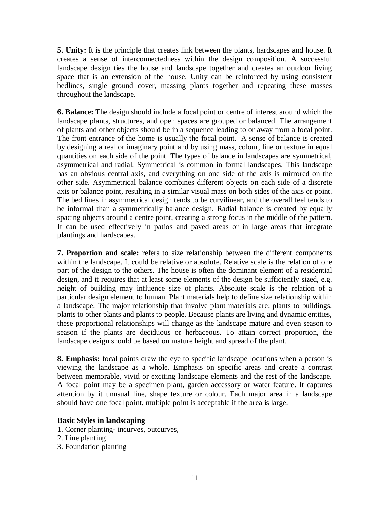**5. Unity:** It is the principle that creates link between the plants, hardscapes and house. It creates a sense of interconnectedness within the design composition. A successful landscape design ties the house and landscape together and creates an outdoor living space that is an extension of the house. Unity can be reinforced by using consistent bedlines, single ground cover, massing plants together and repeating these masses throughout the landscape.

**6. Balance:** The design should include a focal point or centre of interest around which the landscape plants, structures, and open spaces are grouped or balanced. The arrangement of plants and other objects should be in a sequence leading to or away from a focal point. The front entrance of the home is usually the focal point. A sense of balance is created by designing a real or imaginary point and by using mass, colour, line or texture in equal quantities on each side of the point. The types of balance in landscapes are symmetrical, asymmetrical and radial. Symmetrical is common in formal landscapes. This landscape has an obvious central axis, and everything on one side of the axis is mirrored on the other side. Asymmetrical balance combines different objects on each side of a discrete axis or balance point, resulting in a similar visual mass on both sides of the axis or point. The bed lines in asymmetrical design tends to be curvilinear, and the overall feel tends to be informal than a symmetrically balance design. Radial balance is created by equally spacing objects around a centre point, creating a strong focus in the middle of the pattern. It can be used effectively in patios and paved areas or in large areas that integrate plantings and hardscapes.

**7. Proportion and scale:** refers to size relationship between the different components within the landscape. It could be relative or absolute. Relative scale is the relation of one part of the design to the others. The house is often the dominant element of a residential design, and it requires that at least some elements of the design be sufficiently sized, e.g. height of building may influence size of plants. Absolute scale is the relation of a particular design element to human. Plant materials help to define size relationship within a landscape. The major relationship that involve plant materials are; plants to buildings, plants to other plants and plants to people. Because plants are living and dynamic entities, these proportional relationships will change as the landscape mature and even season to season if the plants are deciduous or herbaceous. To attain correct proportion, the landscape design should be based on mature height and spread of the plant.

**8. Emphasis:** focal points draw the eye to specific landscape locations when a person is viewing the landscape as a whole. Emphasis on specific areas and create a contrast between memorable, vivid or exciting landscape elements and the rest of the landscape. A focal point may be a specimen plant, garden accessory or water feature. It captures attention by it unusual line, shape texture or colour. Each major area in a landscape should have one focal point, multiple point is acceptable if the area is large.

#### **Basic Styles in landscaping**

- 1. Corner planting- incurves, outcurves,
- 2. Line planting
- 3. Foundation planting